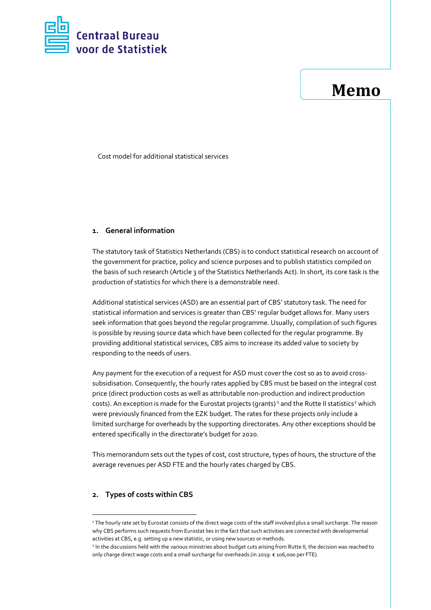

# **Memo**

Cost model for additional statistical services

## **1. General information**

The statutory task of Statistics Netherlands (CBS) is to conduct statistical research on account of the government for practice, policy and science purposes and to publish statistics compiled on the basis of such research (Article 3 of the Statistics Netherlands Act). In short, its core task is the production of statistics for which there is a demonstrable need.

Additional statistical services (ASD) are an essential part of CBS' statutory task. The need for statistical information and services is greater than CBS' regular budget allows for. Many users seek information that goes beyond the regular programme. Usually, compilation of such figures is possible by reusing source data which have been collected for the regular programme. By providing additional statistical services, CBS aims to increase its added value to society by responding to the needs of users.

Any payment for the execution of a request for ASD must cover the cost so as to avoid crosssubsidisation. Consequently, the hourly rates applied by CBS must be based on the integral cost price (direct production costs as well as attributable non-production and indirect production costs). An exception is made for the Eurostat projects (grants)<sup>1</sup> and the Rutte II statistics<sup>2</sup> which were previously financed from the EZK budget. The rates for these projects only include a limited surcharge for overheads by the supporting directorates. Any other exceptions should be entered specifically in the directorate's budget for 2020.

This memorandum sets out the types of cost, cost structure, types of hours, the structure of the average revenues per ASD FTE and the hourly rates charged by CBS.

## **2. Types of costs within CBS**

 $\overline{a}$ 

<sup>&</sup>lt;sup>1</sup> The hourly rate set by Eurostat consists of the direct wage costs of the staff involved plus a small surcharge. The reason why CBS performs such requests from Eurostat lies in the fact that such activities are connected with developmental activities at CBS, e.g. setting up a new statistic, or using new sources or methods.

<sup>2</sup> In the discussions held with the various ministries about budget cuts arising from Rutte II, the decision was reached to only charge direct wage costs and a small surcharge for overheads (in 2019: € 106,000 per FTE).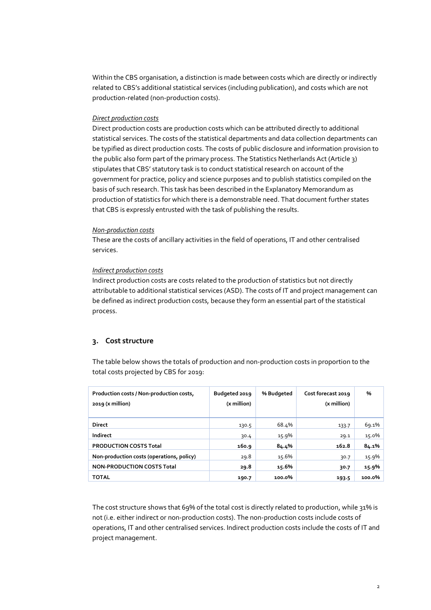Within the CBS organisation, a distinction is made between costs which are directly or indirectly related to CBS's additional statistical services (including publication), and costs which are not production-related (non-production costs).

## *Direct production costs*

Direct production costs are production costs which can be attributed directly to additional statistical services. The costs of the statistical departments and data collection departments can be typified as direct production costs. The costs of public disclosure and information provision to the public also form part of the primary process. The Statistics Netherlands Act (Article 3) stipulates that CBS' statutory task is to conduct statistical research on account of the government for practice, policy and science purposes and to publish statistics compiled on the basis of such research. This task has been described in the Explanatory Memorandum as production of statistics for which there is a demonstrable need. That document further states that CBS is expressly entrusted with the task of publishing the results.

### *Non-production costs*

These are the costs of ancillary activities in the field of operations, IT and other centralised services.

### *Indirect production costs*

Indirect production costs are costs related to the production of statistics but not directly attributable to additional statistical services (ASD). The costs of IT and project management can be defined as indirect production costs, because they form an essential part of the statistical process.

## **3. Cost structure**

The table below shows the totals of production and non-production costs in proportion to the total costs projected by CBS for 2019:

| Production costs / Non-production costs,<br>$2019$ (x million) | Budgeted 2019<br>(x million) | % Budgeted | Cost forecast 2019<br>(x million) | %      |
|----------------------------------------------------------------|------------------------------|------------|-----------------------------------|--------|
| <b>Direct</b>                                                  | 130.5                        | 68.4%      | 133.7                             | 69.1%  |
| Indirect                                                       | 30.4                         | 15.9%      | 29.1                              | 15.0%  |
| <b>PRODUCTION COSTS Total</b>                                  | 160.9                        | 84.4%      | 162.8                             | 84.1%  |
| Non-production costs (operations, policy)                      | 29.8                         | 15.6%      | 30.7                              | 15.9%  |
| <b>NON-PRODUCTION COSTS Total</b>                              | 29.8                         | 15.6%      | 30.7                              | 15.9%  |
| <b>TOTAL</b>                                                   | 190.7                        | 100.0%     | 193.5                             | 100.0% |

The cost structure shows that 69% of the total cost is directly related to production, while 31% is not (i.e. either indirect or non-production costs). The non-production costs include costs of operations, IT and other centralised services. Indirect production costs include the costs of IT and project management.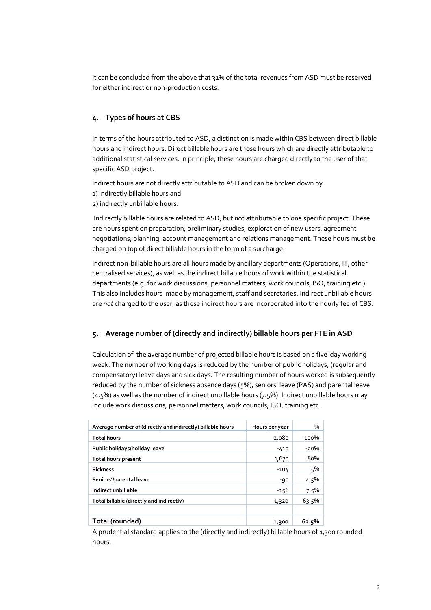It can be concluded from the above that 31% of the total revenues from ASD must be reserved for either indirect or non-production costs.

# **4. Types of hours at CBS**

In terms of the hours attributed to ASD, a distinction is made within CBS between direct billable hours and indirect hours. Direct billable hours are those hours which are directly attributable to additional statistical services. In principle, these hours are charged directly to the user of that specific ASD project.

Indirect hours are not directly attributable to ASD and can be broken down by:

1) indirectly billable hours and

2) indirectly unbillable hours.

Indirectly billable hours are related to ASD, but not attributable to one specific project. These are hours spent on preparation, preliminary studies, exploration of new users, agreement negotiations, planning, account management and relations management. These hours must be charged on top of direct billable hours in the form of a surcharge.

Indirect non-billable hours are all hours made by ancillary departments (Operations, IT, other centralised services), as well as the indirect billable hours of work within the statistical departments (e.g. for work discussions, personnel matters, work councils, ISO, training etc.). This also includes hours made by management, staff and secretaries. Indirect unbillable hours are *not* charged to the user, as these indirect hours are incorporated into the hourly fee of CBS.

## **5. Average number of (directly and indirectly) billable hours per FTE in ASD**

Calculation of the average number of projected billable hours is based on a five-day working week. The number of working days is reduced by the number of public holidays, (regular and compensatory) leave days and sick days. The resulting number of hours worked is subsequently reduced by the number of sickness absence days (5%), seniors' leave (PAS) and parental leave (4.5%) as well as the number of indirect unbillable hours (7.5%). Indirect unbillable hours may include work discussions, personnel matters, work councils, ISO, training etc.

| Average number of (directly and indirectly) billable hours | Hours per year | %       |
|------------------------------------------------------------|----------------|---------|
| <b>Total hours</b>                                         | 2,080          | 100%    |
| Public holidays/holiday leave                              | $-410$         | $-20%$  |
| Total hours present                                        | 1,670          | 80%     |
| <b>Sickness</b>                                            | $-104$         | 5%      |
| Seniors'/parental leave                                    | $-90$          | $4.5\%$ |
| Indirect unbillable                                        | $-156$         | 7.5%    |
| Total billable (directly and indirectly)                   | 1,320          | 63.5%   |
|                                                            |                |         |
| Total (rounded)                                            | 1,300          | 62.5%   |

A prudential standard applies to the (directly and indirectly) billable hours of 1,300 rounded hours.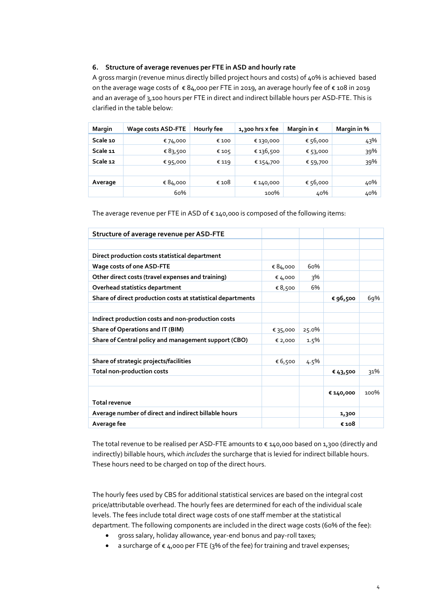## **6. Structure of average revenues per FTE in ASD and hourly rate**

A gross margin (revenue minus directly billed project hours and costs) of 40% is achieved based on the average wage costs of € 84,000 per FTE in 2019, an average hourly fee of € 108 in 2019 and an average of 3,100 hours per FTE in direct and indirect billable hours per ASD-FTE. This is clarified in the table below:

| Margin   | Wage costs ASD-FTE | Hourly fee | 1,300 hrs x fee | Margin in $\epsilon$ | Margin in % |
|----------|--------------------|------------|-----------------|----------------------|-------------|
| Scale 10 | € 74,000           | € 100      | € 130,000       | € 56,000             | 43%         |
| Scale 11 | € 83,500           | € 105      | € 136,500       | € 53,000             | 39%         |
| Scale 12 | €95,000            | € 119      | € 154,700       | € 59,700             | 39%         |
|          |                    |            |                 |                      |             |
| Average  | € 84,000           | € 108      | € 140,000       | € 56,000             | 40%         |
|          | 60%                |            | 100%            | 40%                  | 40%         |

The average revenue per FTE in ASD of € 140,000 is composed of the following items:

| Structure of average revenue per ASD-FTE                    |          |         |           |      |
|-------------------------------------------------------------|----------|---------|-----------|------|
|                                                             |          |         |           |      |
| Direct production costs statistical department              |          |         |           |      |
| Wage costs of one ASD-FTE                                   | € 84,000 | 60%     |           |      |
| Other direct costs (travel expenses and training)           | € 4,000  | 3%      |           |      |
| Overhead statistics department                              | € 8,500  | 6%      |           |      |
| Share of direct production costs at statistical departments |          |         | € 96,500  | 69%  |
|                                                             |          |         |           |      |
| Indirect production costs and non-production costs          |          |         |           |      |
| Share of Operations and IT (BIM)                            | € 35,000 | 25.0%   |           |      |
| Share of Central policy and management support (CBO)        | € 2,000  | $1.5\%$ |           |      |
|                                                             |          |         |           |      |
| Share of strategic projects/facilities                      | € 6,500  | 4.5%    |           |      |
| Total non-production costs                                  |          |         | €43,500   | 31%  |
|                                                             |          |         |           |      |
|                                                             |          |         | € 140,000 | 100% |
| <b>Total revenue</b>                                        |          |         |           |      |
| Average number of direct and indirect billable hours        |          |         | 1,300     |      |
| Average fee                                                 |          |         | € 108     |      |

The total revenue to be realised per ASD-FTE amounts to  $\epsilon$  140,000 based on 1,300 (directly and indirectly) billable hours, which *includes* the surcharge that is levied for indirect billable hours. These hours need to be charged on top of the direct hours.

The hourly fees used by CBS for additional statistical services are based on the integral cost price/attributable overhead. The hourly fees are determined for each of the individual scale levels. The fees include total direct wage costs of one staff member at the statistical department. The following components are included in the direct wage costs (60% of the fee):

- gross salary, holiday allowance, year-end bonus and pay-roll taxes;
- a surcharge of €4,000 per FTE (3% of the fee) for training and travel expenses;